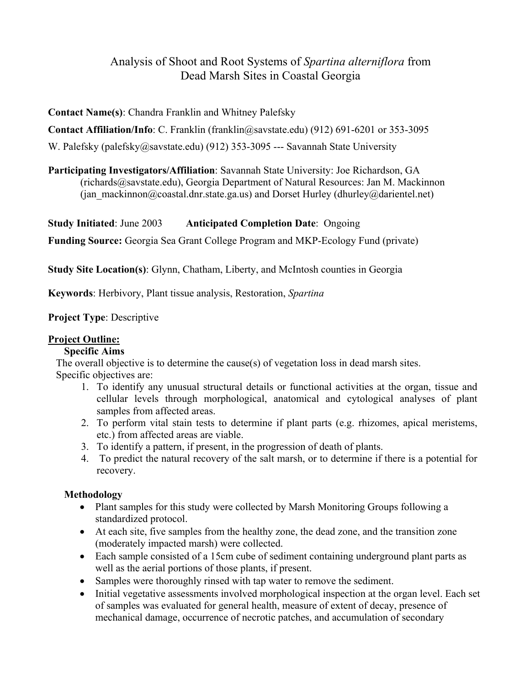# Analysis of Shoot and Root Systems of *Spartina alterniflora* from Dead Marsh Sites in Coastal Georgia

**Contact Name(s)**: Chandra Franklin and Whitney Palefsky

**Contact Affiliation/Info**: C. Franklin (franklin@savstate.edu) (912) 691-6201 or 353-3095

W. Palefsky (palefsky@savstate.edu) (912) 353-3095 --- Savannah State University

**Participating Investigators/Affiliation**: Savannah State University: Joe Richardson, GA (richards@savstate.edu), Georgia Department of Natural Resources: Jan M. Mackinnon (jan\_mackinnon@coastal.dnr.state.ga.us) and Dorset Hurley (dhurley@darientel.net)

**Study Initiated**: June 2003 **Anticipated Completion Date**: Ongoing

**Funding Source:** Georgia Sea Grant College Program and MKP-Ecology Fund (private)

**Study Site Location(s)**: Glynn, Chatham, Liberty, and McIntosh counties in Georgia

**Keywords**: Herbivory, Plant tissue analysis, Restoration, *Spartina*

**Project Type**: Descriptive

## **Project Outline:**

#### **Specific Aims**

The overall objective is to determine the cause(s) of vegetation loss in dead marsh sites. Specific objectives are:

- 1. To identify any unusual structural details or functional activities at the organ, tissue and cellular levels through morphological, anatomical and cytological analyses of plant samples from affected areas.
- 2. To perform vital stain tests to determine if plant parts (e.g. rhizomes, apical meristems, etc.) from affected areas are viable.
- 3. To identify a pattern, if present, in the progression of death of plants.
- 4. To predict the natural recovery of the salt marsh, or to determine if there is a potential for recovery.

#### **Methodology**

- Plant samples for this study were collected by Marsh Monitoring Groups following a standardized protocol.
- At each site, five samples from the healthy zone, the dead zone, and the transition zone (moderately impacted marsh) were collected.
- Each sample consisted of a 15cm cube of sediment containing underground plant parts as well as the aerial portions of those plants, if present.
- Samples were thoroughly rinsed with tap water to remove the sediment.
- Initial vegetative assessments involved morphological inspection at the organ level. Each set of samples was evaluated for general health, measure of extent of decay, presence of mechanical damage, occurrence of necrotic patches, and accumulation of secondary